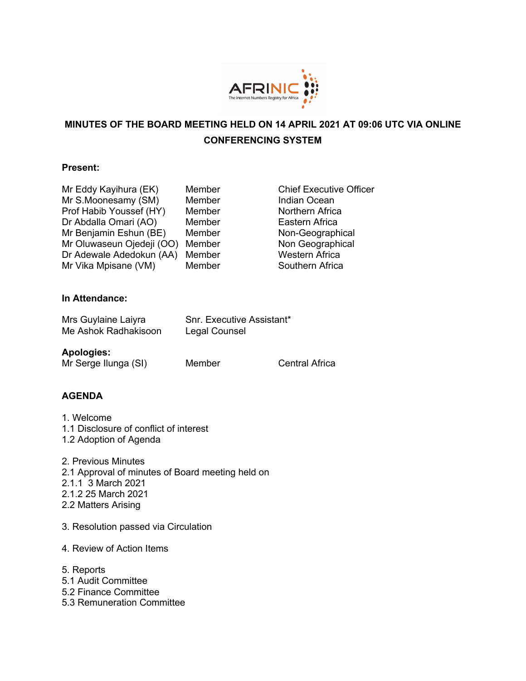

# **MINUTES OF THE BOARD MEETING HELD ON 14 APRIL 2021 AT 09:06 UTC VIA ONLINE CONFERENCING SYSTEM**

#### **Present:**

| Mr Eddy Kayihura (EK)     | Member |
|---------------------------|--------|
| Mr S.Moonesamy (SM)       | Member |
| Prof Habib Youssef (HY)   | Member |
| Dr Abdalla Omari (AO)     | Member |
| Mr Benjamin Eshun (BE)    | Member |
| Mr Oluwaseun Ojedeji (OO) | Member |
| Dr Adewale Adedokun (AA)  | Member |
| Mr Vika Mpisane (VM)      | Member |
|                           |        |

**Chief Executive Officer** Indian Ocean Northern Africa Eastern Africa Non-Geographical Non Geographical Western Africa Southern Africa

### **In Attendance:**

| Mrs Guylaine Laiyra  | Snr. Executive Assistant* |
|----------------------|---------------------------|
| Me Ashok Radhakisoon | Legal Counsel             |

### **Apologies:**

Mr Serge Ilunga (SI) Member Central Africa

### **AGENDA**

- 1. Welcome 1.1 Disclosure of conflict of interest
- 1.2 Adoption of Agenda
- 2. Previous Minutes 2.1 Approval of minutes of Board meeting held on 2.1.1 3 March 2021 2.1.2 25 March 2021 2.2 Matters Arising
- 3. Resolution passed via Circulation
- 4. Review of Action Items
- 5. Reports
- 5.1 Audit Committee
- 5.2 Finance Committee
- 5.3 Remuneration Committee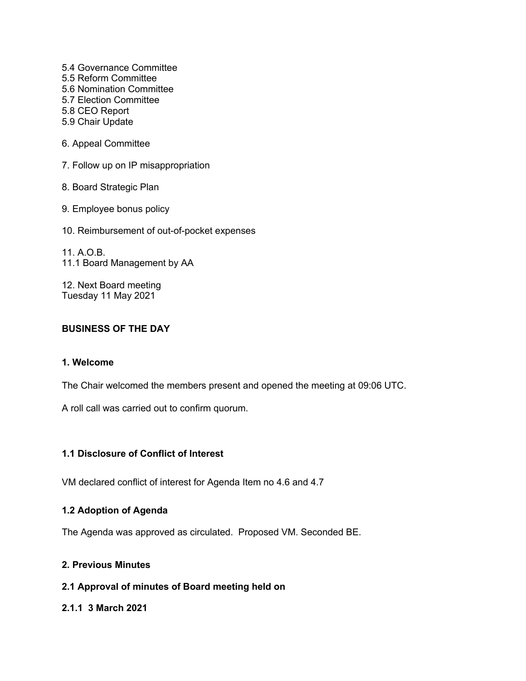5.4 Governance Committee 5.5 Reform Committee 5.6 Nomination Committee 5.7 Election Committee 5.8 CEO Report 5.9 Chair Update

6. Appeal Committee

7. Follow up on IP misappropriation

8. Board Strategic Plan

9. Employee bonus policy

10. Reimbursement of out-of-pocket expenses

11. A.O.B. 11.1 Board Management by AA

12. Next Board meeting Tuesday 11 May 2021

### **BUSINESS OF THE DAY**

# **1. Welcome**

The Chair welcomed the members present and opened the meeting at 09:06 UTC.

A roll call was carried out to confirm quorum.

#### **1.1 Disclosure of Conflict of Interest**

VM declared conflict of interest for Agenda Item no 4.6 and 4.7

#### **1.2 Adoption of Agenda**

The Agenda was approved as circulated. Proposed VM. Seconded BE.

#### **2. Previous Minutes**

# **2.1 Approval of minutes of Board meeting held on**

#### **2.1.1 3 March 2021**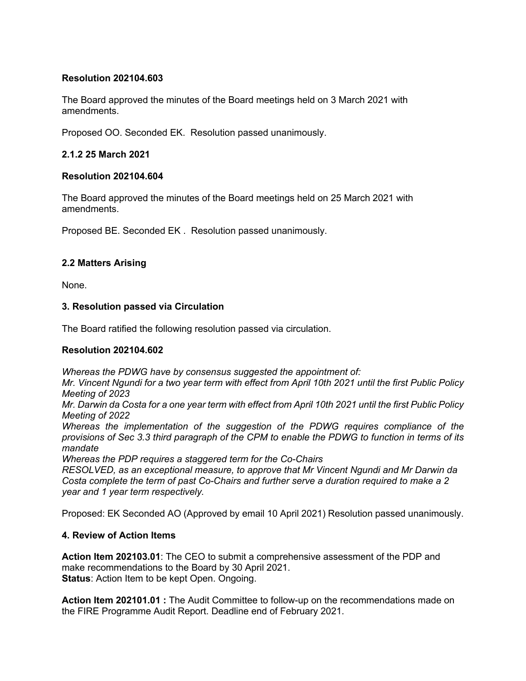#### **Resolution 202104.603**

The Board approved the minutes of the Board meetings held on 3 March 2021 with amendments.

Proposed OO. Seconded EK. Resolution passed unanimously.

### **2.1.2 25 March 2021**

#### **Resolution 202104.604**

The Board approved the minutes of the Board meetings held on 25 March 2021 with amendments.

Proposed BE. Seconded EK . Resolution passed unanimously.

### **2.2 Matters Arising**

None.

### **3. Resolution passed via Circulation**

The Board ratified the following resolution passed via circulation.

#### **Resolution 202104.602**

*Whereas the PDWG have by consensus suggested the appointment of:*

*Mr. Vincent Ngundi for a two year term with effect from April 10th 2021 until the first Public Policy Meeting of 2023*

*Mr. Darwin da Costa for a one year term with effect from April 10th 2021 until the first Public Policy Meeting of 2022*

*Whereas the implementation of the suggestion of the PDWG requires compliance of the provisions of Sec 3.3 third paragraph of the CPM to enable the PDWG to function in terms of its mandate*

*Whereas the PDP requires a staggered term for the Co-Chairs*

*RESOLVED, as an exceptional measure, to approve that Mr Vincent Ngundi and Mr Darwin da Costa complete the term of past Co-Chairs and further serve a duration required to make a 2 year and 1 year term respectively.*

Proposed: EK Seconded AO (Approved by email 10 April 2021) Resolution passed unanimously.

### **4. Review of Action Items**

**Action Item 202103.01**: The CEO to submit a comprehensive assessment of the PDP and make recommendations to the Board by 30 April 2021. **Status:** Action Item to be kept Open. Ongoing.

**Action Item 202101.01 :** The Audit Committee to follow-up on the recommendations made on the FIRE Programme Audit Report. Deadline end of February 2021.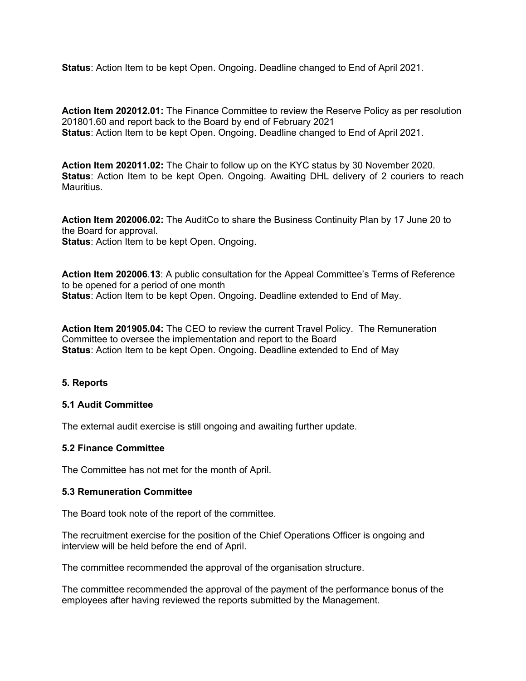**Status**: Action Item to be kept Open. Ongoing. Deadline changed to End of April 2021.

**Action Item 202012.01:** The Finance Committee to review the Reserve Policy as per resolution 201801.60 and report back to the Board by end of February 2021 **Status**: Action Item to be kept Open. Ongoing. Deadline changed to End of April 2021.

**Action Item 202011.02:** The Chair to follow up on the KYC status by 30 November 2020. **Status:** Action Item to be kept Open. Ongoing. Awaiting DHL delivery of 2 couriers to reach Mauritius.

**Action Item 202006.02:** The AuditCo to share the Business Continuity Plan by 17 June 20 to the Board for approval. **Status**: Action Item to be kept Open. Ongoing.

**Action Item 202006**.**13**: A public consultation for the Appeal Committee's Terms of Reference to be opened for a period of one month **Status**: Action Item to be kept Open. Ongoing. Deadline extended to End of May.

**Action Item 201905.04:** The CEO to review the current Travel Policy. The Remuneration Committee to oversee the implementation and report to the Board **Status**: Action Item to be kept Open. Ongoing. Deadline extended to End of May

#### **5. Reports**

#### **5.1 Audit Committee**

The external audit exercise is still ongoing and awaiting further update.

#### **5.2 Finance Committee**

The Committee has not met for the month of April.

#### **5.3 Remuneration Committee**

The Board took note of the report of the committee.

The recruitment exercise for the position of the Chief Operations Officer is ongoing and interview will be held before the end of April.

The committee recommended the approval of the organisation structure.

The committee recommended the approval of the payment of the performance bonus of the employees after having reviewed the reports submitted by the Management.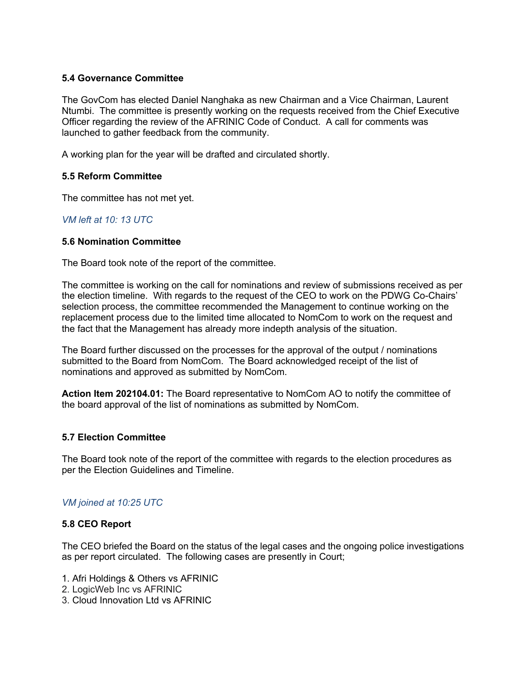### **5.4 Governance Committee**

The GovCom has elected Daniel Nanghaka as new Chairman and a Vice Chairman, Laurent Ntumbi. The committee is presently working on the requests received from the Chief Executive Officer regarding the review of the AFRINIC Code of Conduct. A call for comments was launched to gather feedback from the community.

A working plan for the year will be drafted and circulated shortly.

### **5.5 Reform Committee**

The committee has not met yet.

### *VM left at 10: 13 UTC*

### **5.6 Nomination Committee**

The Board took note of the report of the committee.

The committee is working on the call for nominations and review of submissions received as per the election timeline. With regards to the request of the CEO to work on the PDWG Co-Chairs' selection process, the committee recommended the Management to continue working on the replacement process due to the limited time allocated to NomCom to work on the request and the fact that the Management has already more indepth analysis of the situation.

The Board further discussed on the processes for the approval of the output / nominations submitted to the Board from NomCom. The Board acknowledged receipt of the list of nominations and approved as submitted by NomCom.

**Action Item 202104.01:** The Board representative to NomCom AO to notify the committee of the board approval of the list of nominations as submitted by NomCom.

### **5.7 Election Committee**

The Board took note of the report of the committee with regards to the election procedures as per the Election Guidelines and Timeline.

### *VM joined at 10:25 UTC*

### **5.8 CEO Report**

The CEO briefed the Board on the status of the legal cases and the ongoing police investigations as per report circulated. The following cases are presently in Court;

- 1. Afri Holdings & Others vs AFRINIC
- 2. LogicWeb Inc vs AFRINIC
- 3. Cloud Innovation Ltd vs AFRINIC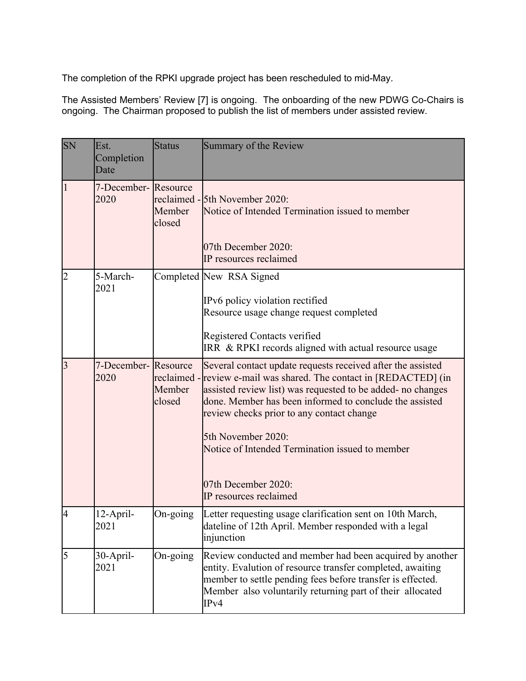The completion of the RPKI upgrade project has been rescheduled to mid-May.

The Assisted Members' Review [7] is ongoing. The onboarding of the new PDWG Co-Chairs is ongoing. The Chairman proposed to publish the list of members under assisted review.

| <b>SN</b>      | Est.<br>Completion<br>Date   | <b>Status</b>    | Summary of the Review                                                                                                                                                                                                                                                                                                                                                                                                               |
|----------------|------------------------------|------------------|-------------------------------------------------------------------------------------------------------------------------------------------------------------------------------------------------------------------------------------------------------------------------------------------------------------------------------------------------------------------------------------------------------------------------------------|
| $\overline{1}$ | 7-December- Resource<br>2020 | Member<br>closed | reclaimed - 5th November 2020:<br>Notice of Intended Termination issued to member<br>07th December 2020:<br>IP resources reclaimed                                                                                                                                                                                                                                                                                                  |
| $\overline{c}$ | 5-March-<br>2021             |                  | Completed New RSA Signed<br>IPv6 policy violation rectified<br>Resource usage change request completed<br>Registered Contacts verified<br>IRR & RPKI records aligned with actual resource usage                                                                                                                                                                                                                                     |
| $\overline{3}$ | 7-December- Resource<br>2020 | Member<br>closed | Several contact update requests received after the assisted<br>reclaimed - review e-mail was shared. The contact in [REDACTED] (in<br>assisted review list) was requested to be added- no changes<br>done. Member has been informed to conclude the assisted<br>review checks prior to any contact change<br>5th November 2020:<br>Notice of Intended Termination issued to member<br>07th December 2020:<br>IP resources reclaimed |
| $\overline{A}$ | 12-April-<br>2021            | On-going         | Letter requesting usage clarification sent on 10th March,<br>dateline of 12th April. Member responded with a legal<br>injunction                                                                                                                                                                                                                                                                                                    |
| 5              | 30-April-<br>2021            | On-going         | Review conducted and member had been acquired by another<br>entity. Evalution of resource transfer completed, awaiting<br>member to settle pending fees before transfer is effected.<br>Member also voluntarily returning part of their allocated<br>IPv4                                                                                                                                                                           |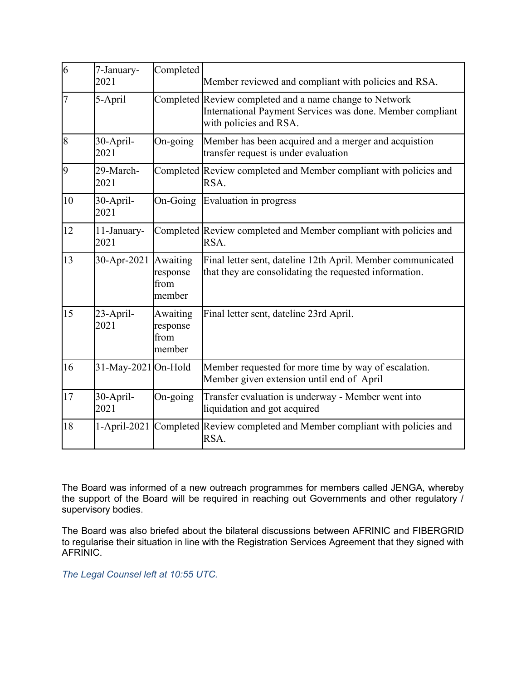| $\overline{6}$ | 7-January-<br>2021  | Completed                              | Member reviewed and compliant with policies and RSA.                                                                                           |
|----------------|---------------------|----------------------------------------|------------------------------------------------------------------------------------------------------------------------------------------------|
| 17             | 5-April             |                                        | Completed Review completed and a name change to Network<br>International Payment Services was done. Member compliant<br>with policies and RSA. |
| 8              | 30-April-<br>2021   | On-going                               | Member has been acquired and a merger and acquistion<br>transfer request is under evaluation                                                   |
| 9              | 29-March-<br>2021   |                                        | Completed Review completed and Member compliant with policies and<br>RSA.                                                                      |
| 10             | 30-April-<br>2021   | On-Going                               | Evaluation in progress                                                                                                                         |
| 12             | 11-January-<br>2021 |                                        | Completed Review completed and Member compliant with policies and<br>RSA.                                                                      |
| 13             | 30-Apr-2021         | Awaiting<br>response<br>from<br>member | Final letter sent, dateline 12th April. Member communicated<br>that they are consolidating the requested information.                          |
| 15             | 23-April-<br>2021   | Awaiting<br>response<br>from<br>member | Final letter sent, dateline 23rd April.                                                                                                        |
| 16             | 31-May-2021 On-Hold |                                        | Member requested for more time by way of escalation.<br>Member given extension until end of April                                              |
| 17             | 30-April-<br>2021   | On-going                               | Transfer evaluation is underway - Member went into<br>liquidation and got acquired                                                             |
| 18             |                     |                                        | 1-April-2021 Completed Review completed and Member compliant with policies and<br>RSA.                                                         |

The Board was informed of a new outreach programmes for members called JENGA, whereby the support of the Board will be required in reaching out Governments and other regulatory / supervisory bodies.

The Board was also briefed about the bilateral discussions between AFRINIC and FIBERGRID to regularise their situation in line with the Registration Services Agreement that they signed with AFRINIC.

*The Legal Counsel left at 10:55 UTC.*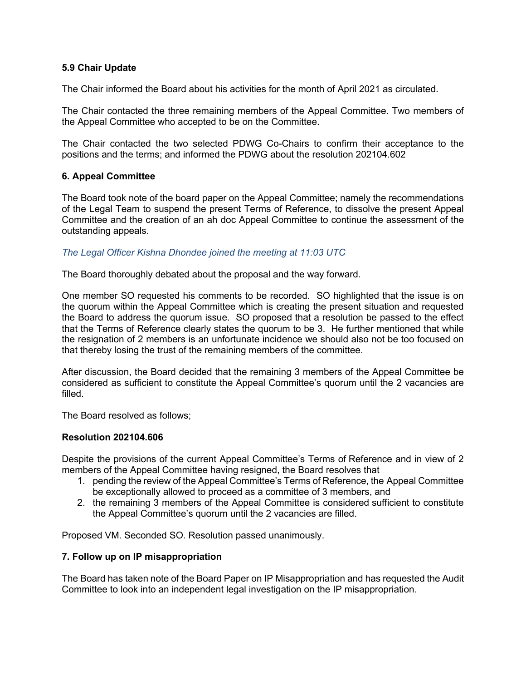### **5.9 Chair Update**

The Chair informed the Board about his activities for the month of April 2021 as circulated.

The Chair contacted the three remaining members of the Appeal Committee. Two members of the Appeal Committee who accepted to be on the Committee.

The Chair contacted the two selected PDWG Co-Chairs to confirm their acceptance to the positions and the terms; and informed the PDWG about the resolution 202104.602

### **6. Appeal Committee**

The Board took note of the board paper on the Appeal Committee; namely the recommendations of the Legal Team to suspend the present Terms of Reference, to dissolve the present Appeal Committee and the creation of an ah doc Appeal Committee to continue the assessment of the outstanding appeals.

### *The Legal Officer Kishna Dhondee joined the meeting at 11:03 UTC*

The Board thoroughly debated about the proposal and the way forward.

One member SO requested his comments to be recorded. SO highlighted that the issue is on the quorum within the Appeal Committee which is creating the present situation and requested the Board to address the quorum issue. SO proposed that a resolution be passed to the effect that the Terms of Reference clearly states the quorum to be 3. He further mentioned that while the resignation of 2 members is an unfortunate incidence we should also not be too focused on that thereby losing the trust of the remaining members of the committee.

After discussion, the Board decided that the remaining 3 members of the Appeal Committee be considered as sufficient to constitute the Appeal Committee's quorum until the 2 vacancies are filled.

The Board resolved as follows;

#### **Resolution 202104.606**

Despite the provisions of the current Appeal Committee's Terms of Reference and in view of 2 members of the Appeal Committee having resigned, the Board resolves that

- 1. pending the review of the Appeal Committee's Terms of Reference, the Appeal Committee be exceptionally allowed to proceed as a committee of 3 members, and
- 2. the remaining 3 members of the Appeal Committee is considered sufficient to constitute the Appeal Committee's quorum until the 2 vacancies are filled.

Proposed VM. Seconded SO. Resolution passed unanimously.

#### **7. Follow up on IP misappropriation**

The Board has taken note of the Board Paper on IP Misappropriation and has requested the Audit Committee to look into an independent legal investigation on the IP misappropriation.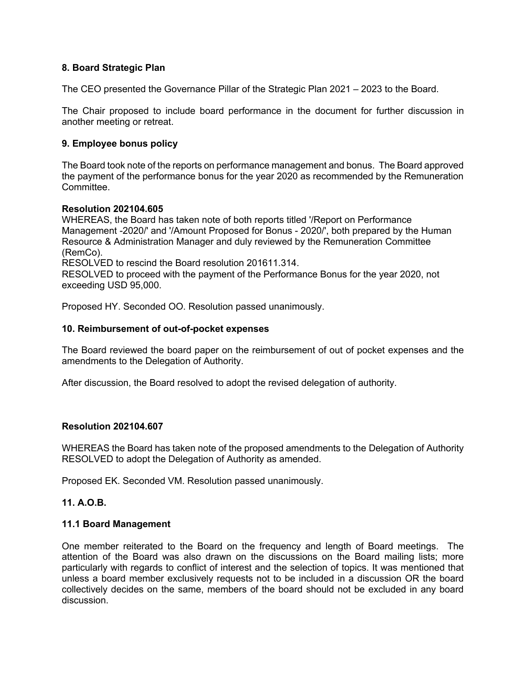### **8. Board Strategic Plan**

The CEO presented the Governance Pillar of the Strategic Plan 2021 – 2023 to the Board.

The Chair proposed to include board performance in the document for further discussion in another meeting or retreat.

#### **9. Employee bonus policy**

The Board took note of the reports on performance management and bonus. The Board approved the payment of the performance bonus for the year 2020 as recommended by the Remuneration Committee.

#### **Resolution 202104.605**

WHEREAS, the Board has taken note of both reports titled '/Report on Performance Management -2020/' and '/Amount Proposed for Bonus - 2020/', both prepared by the Human Resource & Administration Manager and duly reviewed by the Remuneration Committee (RemCo).

RESOLVED to rescind the Board resolution 201611.314.

RESOLVED to proceed with the payment of the Performance Bonus for the year 2020, not exceeding USD 95,000.

Proposed HY. Seconded OO. Resolution passed unanimously.

#### **10. Reimbursement of out-of-pocket expenses**

The Board reviewed the board paper on the reimbursement of out of pocket expenses and the amendments to the Delegation of Authority.

After discussion, the Board resolved to adopt the revised delegation of authority.

#### **Resolution 202104.607**

WHEREAS the Board has taken note of the proposed amendments to the Delegation of Authority RESOLVED to adopt the Delegation of Authority as amended.

Proposed EK. Seconded VM. Resolution passed unanimously.

#### **11. A.O.B.**

#### **11.1 Board Management**

One member reiterated to the Board on the frequency and length of Board meetings. The attention of the Board was also drawn on the discussions on the Board mailing lists; more particularly with regards to conflict of interest and the selection of topics. It was mentioned that unless a board member exclusively requests not to be included in a discussion OR the board collectively decides on the same, members of the board should not be excluded in any board discussion.